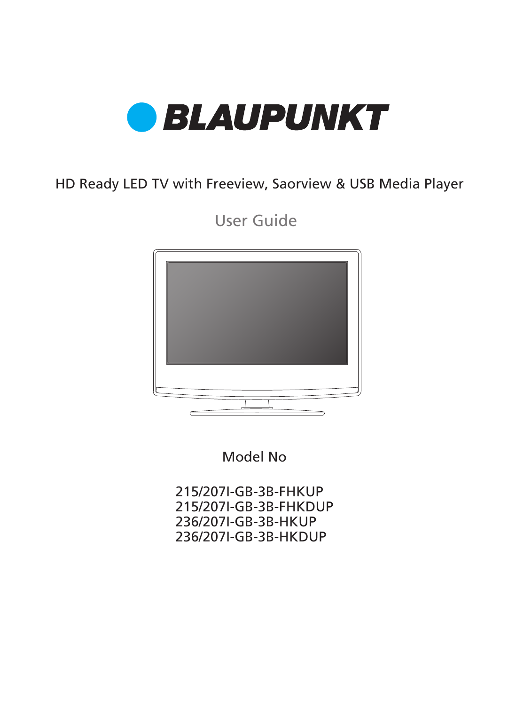

## HD Ready LED TV with Freeview, Saorview & USB Media Player

User Guide



Model No

215/207I-GB-3B-FHKUP 215/207I-GB-3B-FHKDUP 236/207I-GB-3B-HKUP 236/207I-GB-3B-HKDUP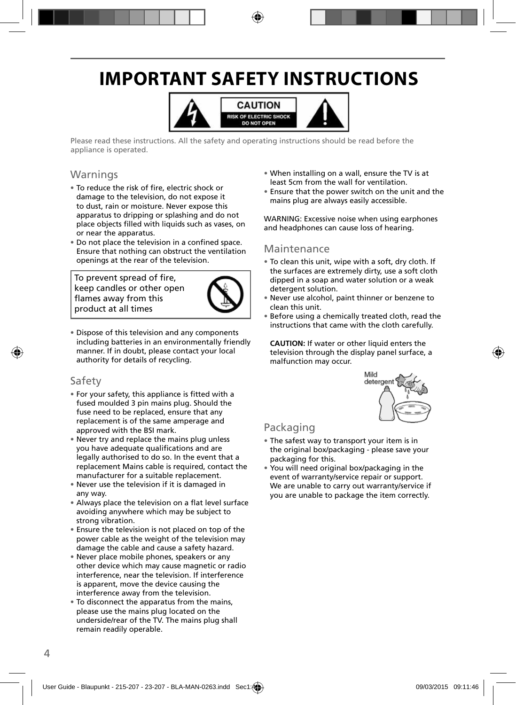# **IMPORTANT SAFETY INSTRUCTIONS**



Please read these instructions. All the safety and operating instructions should be read before the appliance is operated.

### Warnings

- To reduce the risk of fire, electric shock or damage to the television, do not expose it to dust, rain or moisture. Never expose this apparatus to dripping or splashing and do not place objects filled with liquids such as vases, on or near the apparatus.
- Do not place the television in a confined space. Ensure that nothing can obstruct the ventilation openings at the rear of the television.

To prevent spread of fire, keep candles or other open flames away from this product at all times



• Dispose of this television and any components including batteries in an environmentally friendly manner. If in doubt, please contact your local authority for details of recycling.

### Safety

- For your safety, this appliance is fitted with a fused moulded 3 pin mains plug. Should the fuse need to be replaced, ensure that any replacement is of the same amperage and approved with the BSI mark.
- Never try and replace the mains plug unless you have adequate qualifications and are legally authorised to do so. In the event that a replacement Mains cable is required, contact the manufacturer for a suitable replacement.
- Never use the television if it is damaged in any way.
- Always place the television on a flat level surface avoiding anywhere which may be subject to strong vibration.
- Ensure the television is not placed on top of the power cable as the weight of the television may damage the cable and cause a safety hazard.
- Never place mobile phones, speakers or any other device which may cause magnetic or radio interference, near the television. If interference is apparent, move the device causing the interference away from the television.
- To disconnect the apparatus from the mains, please use the mains plug located on the underside/rear of the TV. The mains plug shall remain readily operable.
- When installing on a wall, ensure the TV is at least 5cm from the wall for ventilation.
- Ensure that the power switch on the unit and the mains plug are always easily accessible.

WARNING: Excessive noise when using earphones and headphones can cause loss of hearing.

### Maintenance

- To clean this unit, wipe with a soft, dry cloth. If the surfaces are extremely dirty, use a soft cloth dipped in a soap and water solution or a weak detergent solution.
- Never use alcohol, paint thinner or benzene to clean this unit.
- Before using a chemically treated cloth, read the instructions that came with the cloth carefully.

**CAUTION:** If water or other liquid enters the television through the display panel surface, a malfunction may occur.



### Packaging

- The safest way to transport your item is in the original box/packaging - please save your packaging for this.
- You will need original box/packaging in the event of warranty/service repair or support. We are unable to carry out warranty/service if you are unable to package the item correctly.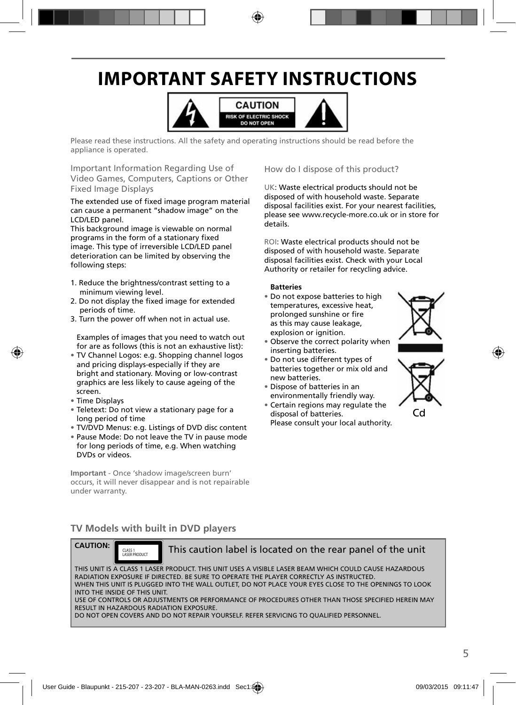# **IMPORTANT SAFETY INSTRUCTIONS**



Please read these instructions. All the safety and operating instructions should be read before the appliance is operated.

Important Information Regarding Use of Video Games, Computers, Captions or Other Fixed Image Displays

The extended use of fixed image program material can cause a permanent "shadow image" on the LCD/LED panel.

This background image is viewable on normal programs in the form of a stationary fixed image. This type of irreversible LCD/LED panel deterioration can be limited by observing the following steps:

- 1. Reduce the brightness/contrast setting to a minimum viewing level.
- 2. Do not display the fixed image for extended periods of time.
- 3. Turn the power off when not in actual use.

Examples of images that you need to watch out for are as follows (this is not an exhaustive list):

- TV Channel Logos: e.g. Shopping channel logos and pricing displays-especially if they are bright and stationary. Moving or low-contrast graphics are less likely to cause ageing of the screen.
- Time Displays
- Teletext: Do not view a stationary page for a long period of time
- TV/DVD Menus: e.g. Listings of DVD disc content
- Pause Mode: Do not leave the TV in pause mode for long periods of time, e.g. When watching DVDs or videos.

**Important** - Once 'shadow image/screen burn' occurs, it will never disappear and is not repairable under warranty.

### How do I dispose of this product?

UK: Waste electrical products should not be disposed of with household waste. Separate disposal facilities exist. For your nearest facilities, please see www.recycle-more.co.uk or in store for details.

ROI: Waste electrical products should not be disposed of with household waste. Separate disposal facilities exist. Check with your Local Authority or retailer for recycling advice.

#### **Batteries**

- Do not expose batteries to high temperatures, excessive heat, prolonged sunshine or fire as this may cause leakage, explosion or ignition.
- Observe the correct polarity when inserting batteries.
- Do not use different types of batteries together or mix old and new batteries.
- Dispose of batteries in an environmentally friendly way.
- Certain regions may regulate the disposal of batteries. Please consult your local authority.





### **TV Models with built in DVD players**



CLASS 1

This caution label is located on the rear panel of the unit

THIS UNIT IS A CLASS 1 LASER PRODUCT. THIS UNIT USES A VISIBLE LASER BEAM WHICH COULD CAUSE HAZARDOUS RADIATION EXPOSURE IF DIRECTED. BE SURE TO OPERATE THE PLAYER CORRECTLY AS INSTRUCTED. WHEN THIS UNIT IS PLUGGED INTO THE WALL OUTLET, DO NOT PLACE YOUR EYES CLOSE TO THE OPENINGS TO LOOK INTO THE INSIDE OF THIS UNIT. USE OF CONTROLS OR ADJUSTMENTS OR PERFORMANCE OF PROCEDURES OTHER THAN THOSE SPECIFIED HEREIN MAY RESULT IN HAZARDOUS RADIATION EXPOSURE. DO NOT OPEN COVERS AND DO NOT REPAIR YOURSELF. REFER SERVICING TO QUALIFIED PERSONNEL.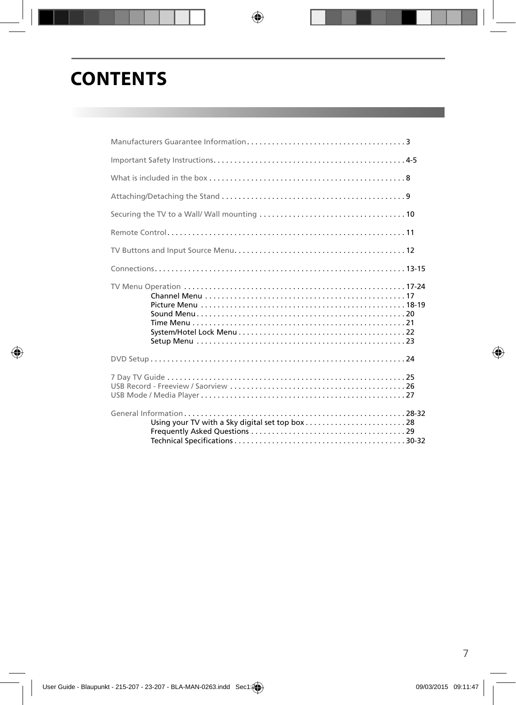## **CONTENTS**

| Using your TV with a Sky digital set top box28 |  |
|------------------------------------------------|--|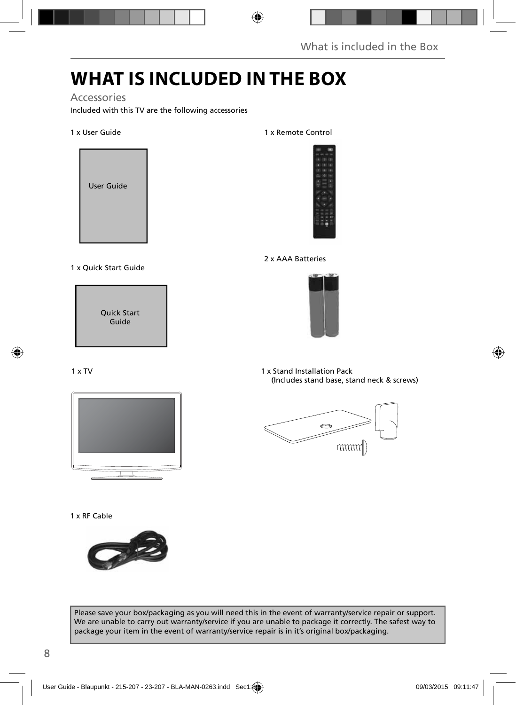# **WHAT IS INCLUDED IN THE BOX**

### Accessories

Included with this TV are the following accessories

### 1 x User Guide



#### 1 x Quick Start Guide



#### 1 x TV



#### 1 x RF Cable



#### 1 x Remote Control



### 2 x AAA Batteries



1 x Stand Installation Pack (Includes stand base, stand neck & screws)



Please save your box/packaging as you will need this in the event of warranty/service repair or support. We are unable to carry out warranty/service if you are unable to package it correctly. The safest way to package your item in the event of warranty/service repair is in it's original box/packaging.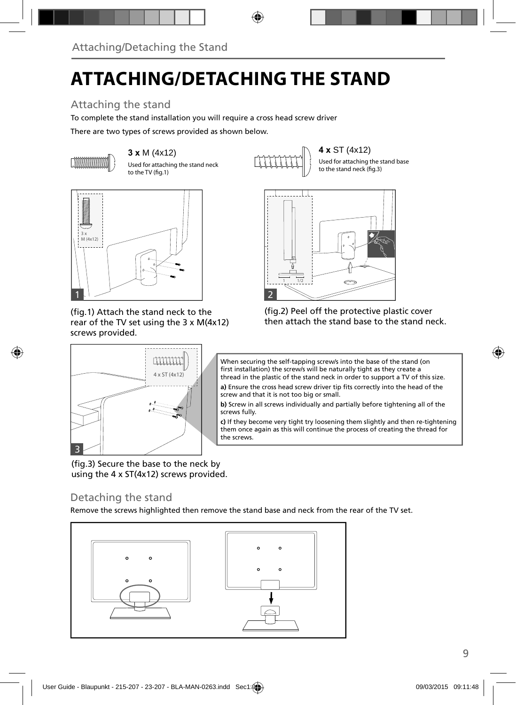# **ATTACHING/DETACHING THE STAND**

## Attaching the stand

To complete the stand installation you will require a cross head screw driver

There are two types of screws provided as shown below.



Used for attaching the stand neck to the TV (fig.1)



1 1/2

IJ

Used for attaching the stand base to the stand neck (fig.3)



(fig.1) Attach the stand neck to the rear of the TV set using the 3 x M(4x12) screws provided.



(fig.3) Secure the base to the neck by using the 4 x ST(4x12) screws provided.

### Detaching the stand

Remove the screws highlighted then remove the stand base and neck from the rear of the TV set.





When securing the self-tapping screw/s into the base of the stand (on first installation) the screw/s will be naturally tight as they create a thread in the plastic of the stand neck in order to support a TV of this size.

a) Ensure the cross head screw driver tip fits correctly into the head of the screw and that it is not too big or small.

**b)** Screw in all screws individually and partially before tightening all of the screws fully.

**c)** If they become very tight try loosening them slightly and then re-tightening them once again as this will continue the process of creating the thread for the screws.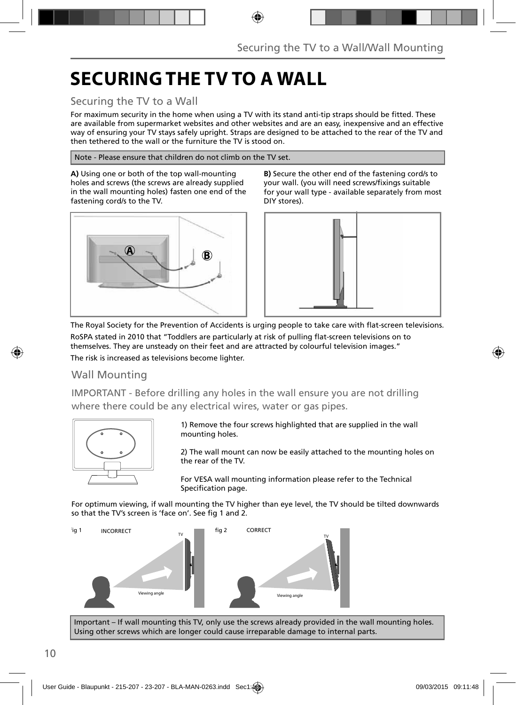# **SECURING THE TV TO A WALL**

### Securing the TV to a Wall

For maximum security in the home when using a TV with its stand anti-tip straps should be fitted. These are available from supermarket websites and other websites and are an easy, inexpensive and an effective way of ensuring your TV stays safely upright. Straps are designed to be attached to the rear of the TV and then tethered to the wall or the furniture the TV is stood on.

Note - Please ensure that children do not climb on the TV set.

**A)** Using one or both of the top wall-mounting holes and screws (the screws are already supplied in the wall mounting holes) fasten one end of the fastening cord/s to the TV.



**B)** Secure the other end of the fastening cord/s to your wall. (you will need screws/fixings suitable for your wall type - available separately from most DIY stores).



The Royal Society for the Prevention of Accidents is urging people to take care with flat-screen televisions. RoSPA stated in 2010 that "Toddlers are particularly at risk of pulling flat-screen televisions on to themselves. They are unsteady on their feet and are attracted by colourful television images." The risk is increased as televisions become lighter.

### Wall Mounting

IMPORTANT - Before drilling any holes in the wall ensure you are not drilling where there could be any electrical wires, water or gas pipes.



1) Remove the four screws highlighted that are supplied in the wall mounting holes.

2) The wall mount can now be easily attached to the mounting holes on the rear of the TV.

For VESA wall mounting information please refer to the Technical Specification page.

For optimum viewing, if wall mounting the TV higher than eye level, the TV should be tilted downwards so that the TV's screen is 'face on'. See fig 1 and 2.



Important – If wall mounting this TV, only use the screws already provided in the wall mounting holes. Using other screws which are longer could cause irreparable damage to internal parts.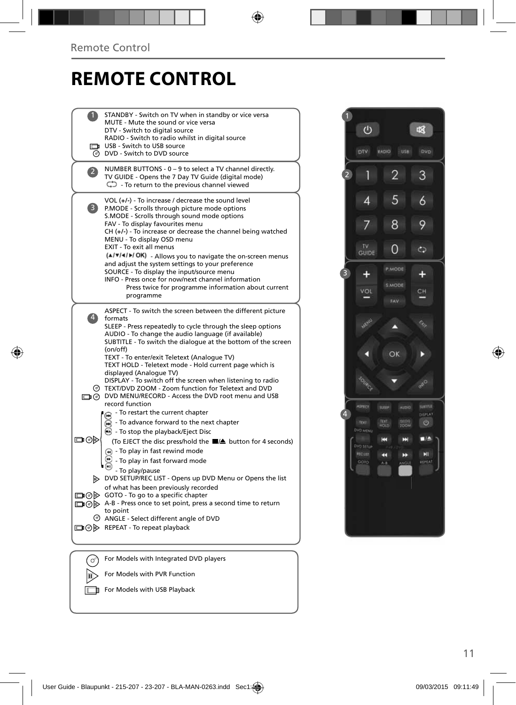# **REMOTE CONTROL**

| STANDBY - Switch on TV when in standby or vice versa<br>MUTE - Mute the sound or vice versa                                   |  |
|-------------------------------------------------------------------------------------------------------------------------------|--|
| DTV - Switch to digital source                                                                                                |  |
| RADIO - Switch to radio whilst in digital source<br>USB - Switch to USB source                                                |  |
| O DVD - Switch to DVD source                                                                                                  |  |
|                                                                                                                               |  |
| NUMBER BUTTONS - 0 - 9 to select a TV channel directly.<br>$\mathbf{Z}$<br>TV GUIDE - Opens the 7 Day TV Guide (digital mode) |  |
| $\mathbb{C}$ - To return to the previous channel viewed                                                                       |  |
| VOL (+/-) - To increase / decrease the sound level                                                                            |  |
| $\vert 3 \rangle$<br>P.MODE - Scrolls through picture mode options                                                            |  |
| S.MODE - Scrolls through sound mode options                                                                                   |  |
| FAV - To display favourites menu<br>$CH (+/-)$ - To increase or decrease the channel being watched                            |  |
| MENU - To display OSD menu                                                                                                    |  |
| EXIT - To exit all menus                                                                                                      |  |
| (A/V/4/M/OK) - Allows you to navigate the on-screen menus<br>and adjust the system settings to your preference                |  |
| SOURCE - To display the input/source menu                                                                                     |  |
| INFO - Press once for now/next channel information<br>Press twice for programme information about current                     |  |
| programme                                                                                                                     |  |
|                                                                                                                               |  |
| ASPECT - To switch the screen between the different picture<br>$\vert 4 \rangle$<br>formats                                   |  |
| SLEEP - Press repeatedly to cycle through the sleep options                                                                   |  |
| AUDIO - To change the audio language (if available)<br>SUBTITLE - To switch the dialogue at the bottom of the screen          |  |
| (on/off)                                                                                                                      |  |
| TEXT - To enter/exit Teletext (Analoque TV)                                                                                   |  |
| TEXT HOLD - Teletext mode - Hold current page which is<br>displayed (Analogue TV)                                             |  |
| DISPLAY - To switch off the screen when listening to radio                                                                    |  |
| TEXT/DVD ZOOM - Zoom function for Teletext and DVD<br>DIG DVD MENU/RECORD - Access the DVD root menu and USB                  |  |
| record function                                                                                                               |  |
| - To restart the current chapter                                                                                              |  |
| - To advance forward to the next chapter<br>m)                                                                                |  |
| $\odot$ - To stop the playback/Eject Disc                                                                                     |  |
| య⊙⊏<br>(To EJECT the disc press/hold the ■▲ button for 4 seconds)                                                             |  |
| (4) - To play in fast rewind mode<br>- To play in fast forward mode                                                           |  |
| - To play/pause                                                                                                               |  |
| DVD SETUP/REC LIST - Opens up DVD Menu or Opens the list                                                                      |  |
| of what has been previously recorded                                                                                          |  |
| □ ⊙ > GOTO - To go to a specific chapter<br>A-B - Press once to set point, press a second time to return                      |  |
| to point                                                                                                                      |  |
| ANGLE - Select different angle of DVD                                                                                         |  |
|                                                                                                                               |  |
| □ ⊙ > REPEAT - To repeat playback                                                                                             |  |
|                                                                                                                               |  |
|                                                                                                                               |  |
| For Models with Integrated DVD players                                                                                        |  |

 $V$  For Models with USB Playback

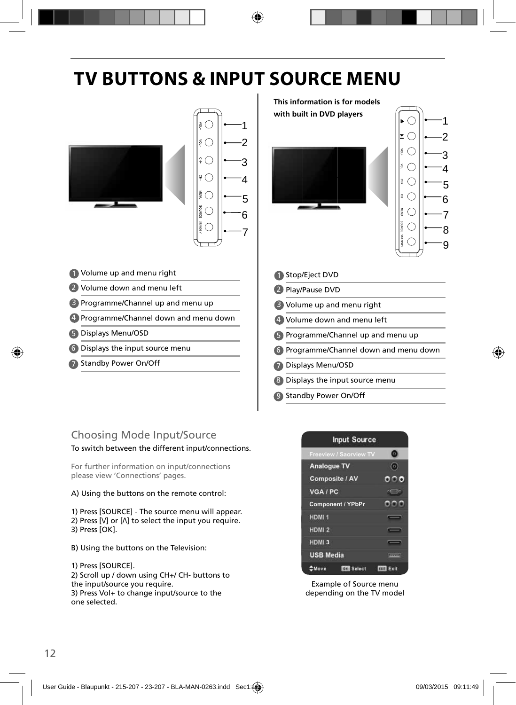# **TV BUTTONS & INPUT SOURCE MENU**



8) Displays the input source menu

9 Standby Power On/Off

### Choosing Mode Input/Source

### To switch between the different input/connections.

For further information on input/connections please view 'Connections' pages.

#### A) Using the buttons on the remote control:

1) Press [SOURCE] - The source menu will appear. 2) Press  $[V]$  or  $[\Lambda]$  to select the input you require. 3) Press [OK].

- B) Using the buttons on the Television:
- 1) Press [SOURCE].

2) Scroll up / down using CH+/ CH- buttons to the input/source you require. 3) Press Vol+ to change input/source to the one selected.



Example of Source menu depending on the TV model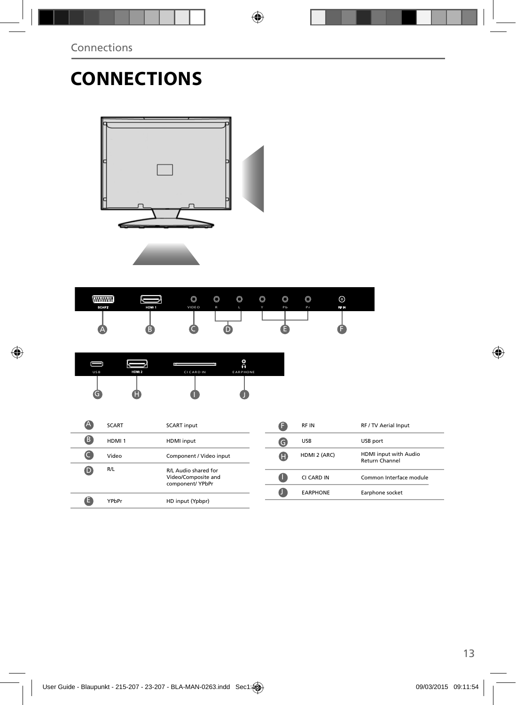# **CONNECTIONS**





| <b>MANHAM</b><br><b>SCART</b> | HDM 1 | $\circledcirc$<br>VIDEO | $\circledcirc$<br>$\mathbb{R}$ | $\circledcirc$ | O<br>× | $\circ$<br>Pb | $\circledcirc$<br>Pr | ⊚<br>RF IN |  |
|-------------------------------|-------|-------------------------|--------------------------------|----------------|--------|---------------|----------------------|------------|--|
| Æ                             |       |                         |                                |                |        |               |                      |            |  |

| USB | HDM <sub>2</sub> | ll s<br><b>CICARD IN</b> | O<br>ଋ<br><b>EARPHONE</b> |
|-----|------------------|--------------------------|---------------------------|
|     |                  |                          |                           |

| A | <b>SCART</b>      | <b>SCART</b> input                      |   | <b>RFIN</b>            | RF / TV Aerial Input                           |
|---|-------------------|-----------------------------------------|---|------------------------|------------------------------------------------|
| B | HDMI <sub>1</sub> | HDMI input                              | G | <b>USB</b>             | USB port                                       |
|   | Video             | Component / Video input                 | O | HDMI 2 (ARC)           | HDMI input with Audio<br><b>Return Channel</b> |
| D | R/L               | R/L Audio shared for                    |   |                        |                                                |
|   |                   | Video/Composite and<br>component/ YPbPr |   | CI CARD IN             | Common Interface module                        |
|   |                   |                                         |   | <b><i>EARPHONE</i></b> |                                                |
|   |                   |                                         |   | Earphone socket        |                                                |
|   | YPbPr             | HD input (Ypbpr)                        |   |                        |                                                |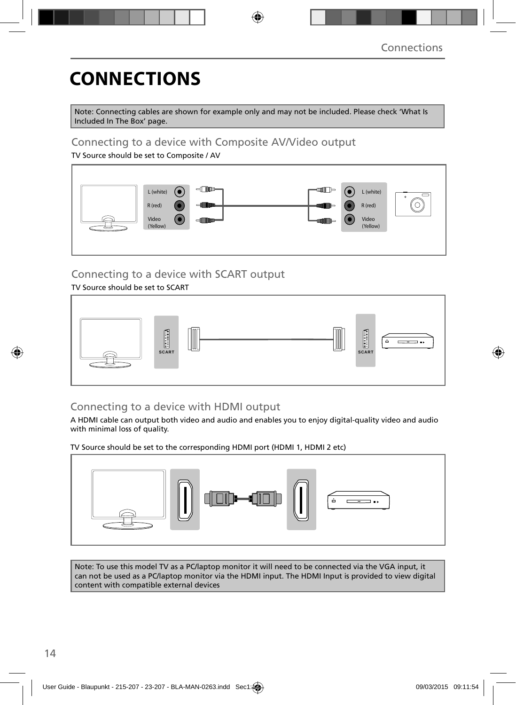# **CONNECTIONS**

Note: Connecting cables are shown for example only and may not be included. Please check 'What Is Included In The Box' page.

### Connecting to a device with Composite AV/Video output

TV Source should be set to Composite / AV



## Connecting to a device with SCART output

### TV Source should be set to SCART



### Connecting to a device with HDMI output

A HDMI cable can output both video and audio and enables you to enjoy digital-quality video and audio with minimal loss of quality.

TV Source should be set to the corresponding HDMI port (HDMI 1, HDMI 2 etc)



Note: To use this model TV as a PC/laptop monitor it will need to be connected via the VGA input, it can not be used as a PC/laptop monitor via the HDMI input. The HDMI Input is provided to view digital content with compatible external devices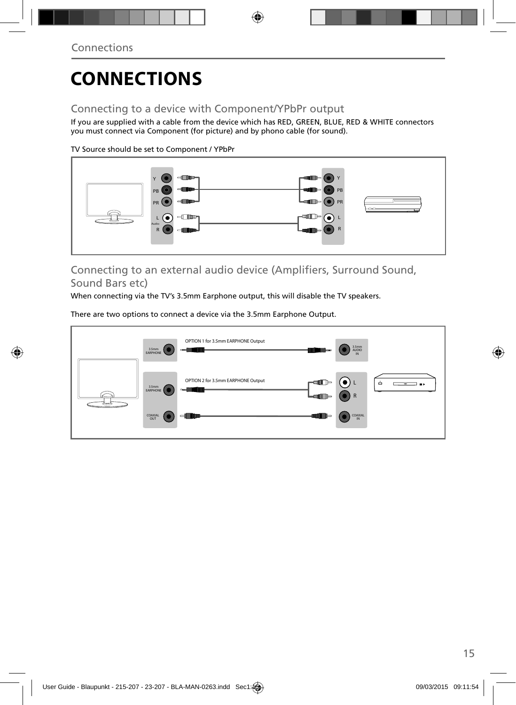# **CONNECTIONS**

## Connecting to a device with Component/YPbPr output

If you are supplied with a cable from the device which has RED, GREEN, BLUE, RED & WHITE connectors you must connect via Component (for picture) and by phono cable (for sound).

TV Source should be set to Component / YPbPr



### Connecting to an external audio device (Amplifiers, Surround Sound, Sound Bars etc)

When connecting via the TV's 3.5mm Earphone output, this will disable the TV speakers.

There are two options to connect a device via the 3.5mm Earphone Output.

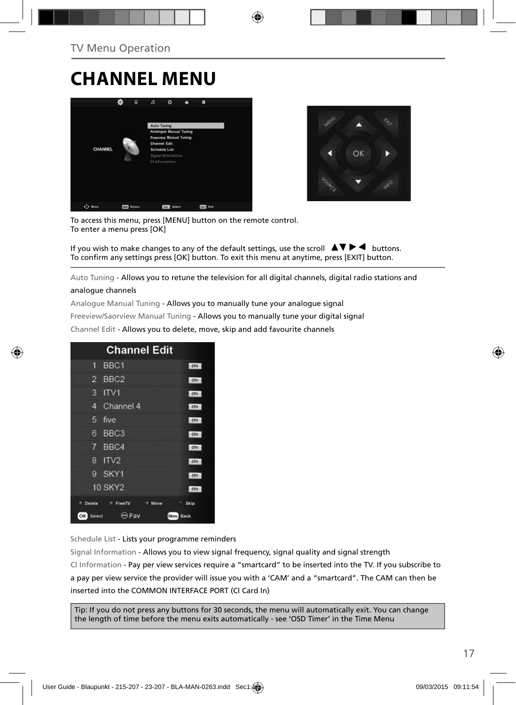## **CHANNEL MENU**





To access this menu, press [MENU] button on the remote control. To enter a menu press [OK]

If you wish to make changes to any of the default settings, use the scroll  $\blacktriangle \blacktriangledown \blacktriangleright \blacktriangleleft$  buttons. To confirm any settings press [OK] button. To exit this menu at anytime, press [EXIT] button.

Auto Tuning - Allows you to retune the television for all digital channels, digital radio stations and

#### analogue channels

Analogue Manual Tuning - Allows you to manually tune your analogue signal

Freeview/Saorview Manual Tuning - Allows you to manually tune your digital signal

Channel Edit - Allows you to delete, move, skip and add favourite channels

| <b>Channel Edit</b>                      |      |
|------------------------------------------|------|
| BBC <sub>1</sub><br>9                    | onv  |
| $\overline{2}$<br>BBC <sub>2</sub>       | otv  |
| 3<br>IV1                                 | otv  |
| Channel 4<br>4                           | ory  |
| 5<br>five                                | otv  |
| BBC <sub>3</sub><br>6                    | DIV  |
| $7^{\circ}$<br>BBC4                      | otv  |
| ITV <sub>2</sub><br>8                    | onv  |
| SKY1<br>g                                | onv  |
| <b>10 SKY2</b>                           | otv  |
| Delete<br><sup>#</sup> FreeTV<br>Move    | Skip |
| <b>Expertise</b><br>OK<br>Select<br>Menu | Back |

Schedule List - Lists your programme reminders

Signal Information - Allows you to view signal frequency, signal quality and signal strength CI Information - Pay per view services require a "smartcard" to be inserted into the TV. If you subscribe to a pay per view service the provider will issue you with a 'CAM' and a "smartcard". The CAM can then be inserted into the COMMON INTERFACE PORT (CI Card In)

Tip: If you do not press any buttons for 30 seconds, the menu will automatically exit. You can change the length of time before the menu exits automatically - see 'OSD Timer' in the Time Menu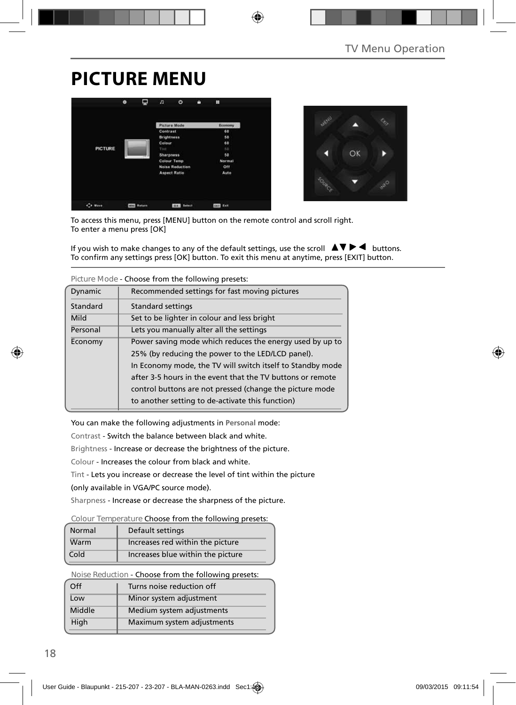# **PICTURE MENU**





To access this menu, press [MENU] button on the remote control and scroll right. To enter a menu press [OK]

If you wish to make changes to any of the default settings, use the scroll  $\Delta \nabla \blacktriangleright$   $\blacktriangleleft$  buttons. To confirm any settings press [OK] button. To exit this menu at anytime, press [EXIT] button.

|          | TIGUI CIVIUUC - CHUUSC TIUNI UTC TUNUVINU DI CSCLS.        |  |  |  |  |  |
|----------|------------------------------------------------------------|--|--|--|--|--|
| Dynamic  | Recommended settings for fast moving pictures              |  |  |  |  |  |
| Standard | <b>Standard settings</b>                                   |  |  |  |  |  |
| Mild     | Set to be lighter in colour and less bright                |  |  |  |  |  |
| Personal | Lets you manually alter all the settings                   |  |  |  |  |  |
| Economy  | Power saving mode which reduces the energy used by up to   |  |  |  |  |  |
|          | 25% (by reducing the power to the LED/LCD panel).          |  |  |  |  |  |
|          | In Economy mode, the TV will switch itself to Standby mode |  |  |  |  |  |
|          | after 3-5 hours in the event that the TV buttons or remote |  |  |  |  |  |
|          | control buttons are not pressed (change the picture mode   |  |  |  |  |  |
|          | to another setting to de-activate this function)           |  |  |  |  |  |

**Picture Mode** - Choose from the following presets:

You can make the following adjustments in **Personal** mode:

Contrast - Switch the balance between black and white.

Brightness - Increase or decrease the brightness of the picture.

Colour - Increases the colour from black and white.

Tint - Lets you increase or decrease the level of tint within the picture

(only available in VGA/PC source mode).

Sharpness - Increase or decrease the sharpness of the picture.

#### **Colour Temperature** Choose from the following presets:

| Normal | Default settings                  |
|--------|-----------------------------------|
| Warm   | Increases red within the picture  |
| Cold   | Increases blue within the picture |

**Noise Reduction** - Choose from the following presets:

| $\Omega$ | Turns noise reduction off  |  |
|----------|----------------------------|--|
| Low      | Minor system adjustment    |  |
| Middle   | Medium system adjustments  |  |
| High     | Maximum system adjustments |  |
|          |                            |  |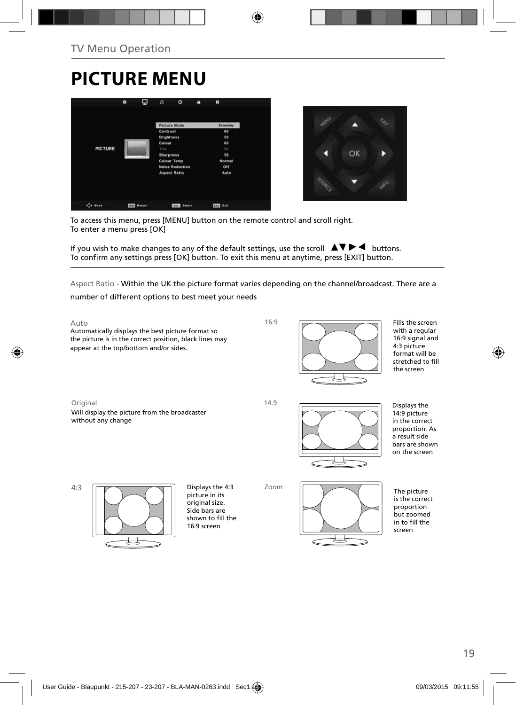# **PICTURE MENU**





To access this menu, press [MENU] button on the remote control and scroll right. To enter a menu press [OK]

If you wish to make changes to any of the default settings, use the scroll  $\blacktriangle \blacktriangledown \blacktriangleright \blacktriangleleft$  buttons. To confirm any settings press [OK] button. To exit this menu at anytime, press [EXIT] button.

Aspect Ratio - Within the UK the picture format varies depending on the channel/broadcast. There are a number of different options to best meet your needs

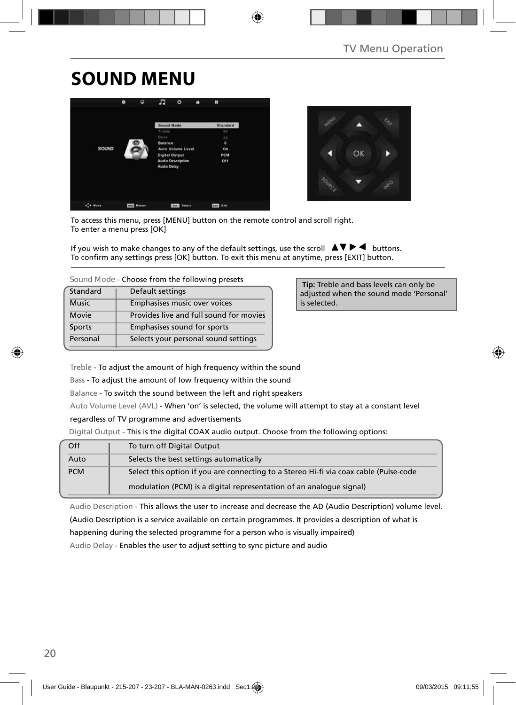# **SOUND MENU**





To access this menu, press [MENU] button on the remote control and scroll right. To enter a menu press [OK]

If you wish to make changes to any of the default settings, use the scroll  $\blacktriangle \blacktriangledown \blacktriangleright \blacktriangleleft$  buttons. To confirm any settings press [OK] button. To exit this menu at anytime, press [EXIT] button.

| Sound Mode - Choose from the following presets |  |  |  |  |
|------------------------------------------------|--|--|--|--|
|------------------------------------------------|--|--|--|--|

| Standard     | Default settings                        |
|--------------|-----------------------------------------|
| <b>Music</b> | Emphasises music over voices            |
| Movie        | Provides live and full sound for movies |
| Sports       | Emphasises sound for sports             |
| Personal     | Selects your personal sound settings    |

 **Tip:** Treble and bass levels can only be adjusted when the sound mode 'Personal' is selected.

Treble - To adjust the amount of high frequency within the sound

Bass - To adjust the amount of low frequency within the sound

Balance - To switch the sound between the left and right speakers

Auto Volume Level (AVL) - When 'on' is selected, the volume will attempt to stay at a constant level

regardless of TV programme and advertisements

Digital Output - This is the digital COAX audio output. Choose from the following options:

| Off        | To turn off Digital Output                                                            |
|------------|---------------------------------------------------------------------------------------|
| Auto       | Selects the best settings automatically                                               |
| <b>PCM</b> | Select this option if you are connecting to a Stereo Hi-fi via coax cable (Pulse-code |
|            | modulation (PCM) is a digital representation of an analogue signal)                   |

Audio Description - This allows the user to increase and decrease the AD (Audio Description) volume level. (Audio Description is a service available on certain programmes. It provides a description of what is

happening during the selected programme for a person who is visually impaired)

Audio Delay - Enables the user to adjust setting to sync picture and audio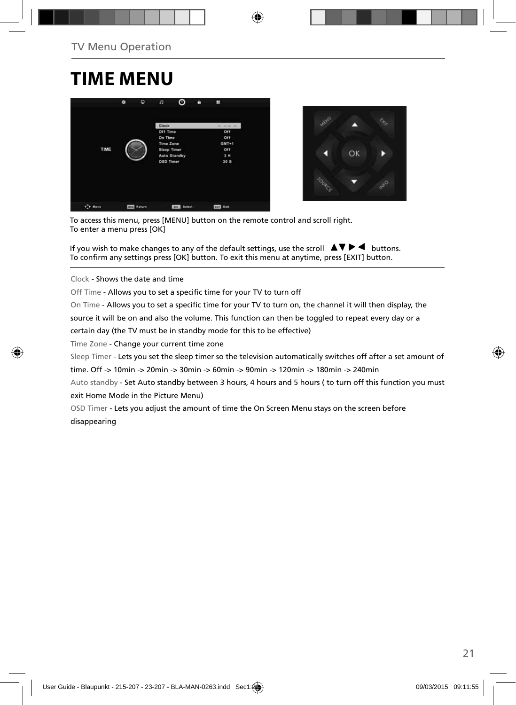## **TIME MENU**





To access this menu, press [MENU] button on the remote control and scroll right. To enter a menu press [OK]

If you wish to make changes to any of the default settings, use the scroll  $\blacktriangle \blacktriangledown \blacktriangleright \blacktriangleleft$  buttons. To confirm any settings press [OK] button. To exit this menu at anytime, press [EXIT] button.

Clock - Shows the date and time

Off Time - Allows you to set a specific time for your TV to turn off

On Time - Allows you to set a specific time for your TV to turn on, the channel it will then display, the

source it will be on and also the volume. This function can then be toggled to repeat every day or a

certain day (the TV must be in standby mode for this to be effective)

Time Zone - Change your current time zone

Sleep Timer - Lets you set the sleep timer so the television automatically switches off after a set amount of

time. Off -> 10min -> 20min -> 30min -> 60min -> 90min -> 120min -> 180min -> 240min

Auto standby - Set Auto standby between 3 hours, 4 hours and 5 hours ( to turn off this function you must exit Home Mode in the Picture Menu)

OSD Timer - Lets you adjust the amount of time the On Screen Menu stays on the screen before disappearing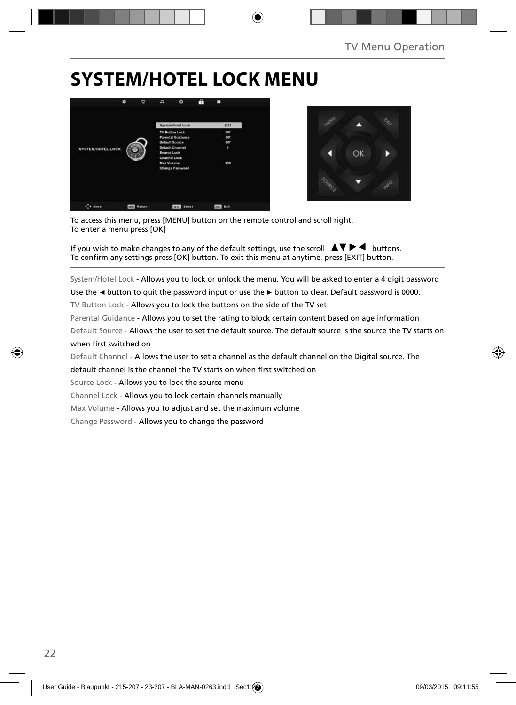# **SYSTEM/HOTEL LOCK MENU**





To access this menu, press [MENU] button on the remote control and scroll right. To enter a menu press [OK]

If you wish to make changes to any of the default settings, use the scroll  $\blacktriangle \blacktriangledown \blacktriangleright \blacktriangleleft$  buttons. To confirm any settings press [OK] button. To exit this menu at anytime, press [EXIT] button.

System/Hotel Lock - Allows you to lock or unlock the menu. You will be asked to enter a 4 digit password

Use the **◄** button to quit the password input or use the **►** button to clear. Default password is 0000.

TV Button Lock - Allows you to lock the buttons on the side of the TV set

Parental Guidance - Allows you to set the rating to block certain content based on age information

Default Source - Allows the user to set the default source. The default source is the source the TV starts on when first switched on

Default Channel - Allows the user to set a channel as the default channel on the Digital source. The

default channel is the channel the TV starts on when first switched on

Source Lock - Allows you to lock the source menu

Channel Lock - Allows you to lock certain channels manually

Max Volume - Allows you to adjust and set the maximum volume

Change Password - Allows you to change the password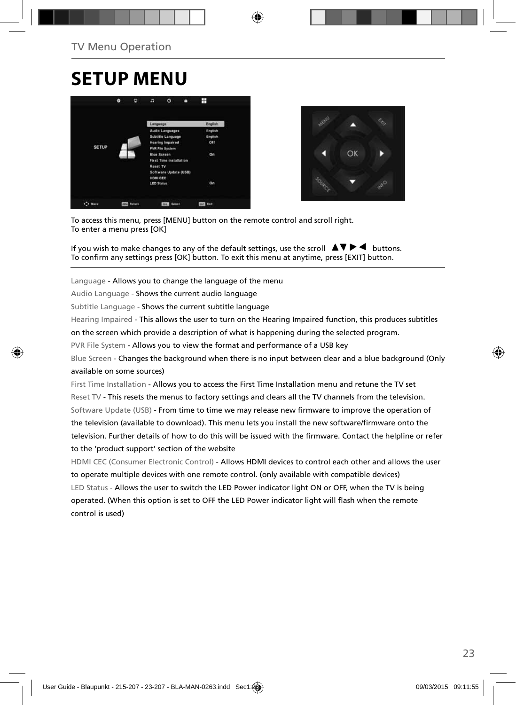## **SETUP MENU**





To access this menu, press [MENU] button on the remote control and scroll right. To enter a menu press [OK]

If you wish to make changes to any of the default settings, use the scroll  $\blacktriangle \blacktriangledown \blacktriangleright \blacktriangleleft$  buttons. To confirm any settings press [OK] button. To exit this menu at anytime, press [EXIT] button.

Language - Allows you to change the language of the menu

Audio Language - Shows the current audio language

Subtitle Language - Shows the current subtitle language

Hearing Impaired - This allows the user to turn on the Hearing Impaired function, this produces subtitles

on the screen which provide a description of what is happening during the selected program.

PVR File System - Allows you to view the format and performance of a USB key

Blue Screen - Changes the background when there is no input between clear and a blue background (Only available on some sources)

First Time Installation - Allows you to access the First Time Installation menu and retune the TV set Reset TV - This resets the menus to factory settings and clears all the TV channels from the television. Software Update (USB) - From time to time we may release new firmware to improve the operation of the television (available to download). This menu lets you install the new software/firmware onto the television. Further details of how to do this will be issued with the firmware. Contact the helpline or refer to the 'product support' section of the website

HDMI CEC (Consumer Electronic Control) - Allows HDMI devices to control each other and allows the user to operate multiple devices with one remote control. (only available with compatible devices) LED Status - Allows the user to switch the LED Power indicator light ON or OFF, when the TV is being operated. (When this option is set to OFF the LED Power indicator light will flash when the remote control is used)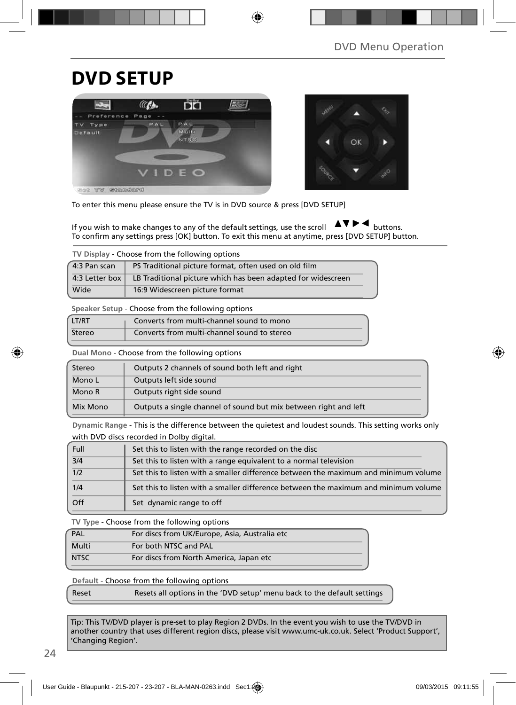## **DVD SETUP**





To enter this menu please ensure the TV is in DVD source & press [DVD SETUP]

If you wish to make changes to any of the default settings, use the scroll  $\blacktriangle$   $\blacktriangleright$   $\blacktriangleleft$  buttons. To confirm any settings press [OK] button. To exit this menu at anytime, press [DVD SETUP] button.

**TV Display** - Choose from the following options

| 4:3 Pan scan                     | PS Traditional picture format, often used on old film        |
|----------------------------------|--------------------------------------------------------------|
| 4:3 Letter box $\mathsf{\Gamma}$ | LB Traditional picture which has been adapted for widescreen |
| Wide                             | 16:9 Widescreen picture format                               |

**Speaker Setup** - Choose from the following options

| LT/RT  | Converts from multi-channel sound to mono   |
|--------|---------------------------------------------|
| Stereo | Converts from multi-channel sound to stereo |

**Dual Mono** - Choose from the following options

| Stereo   | Outputs 2 channels of sound both left and right                  |
|----------|------------------------------------------------------------------|
| Mono L   | Outputs left side sound                                          |
| Mono R   | Outputs right side sound                                         |
| Mix Mono | Outputs a single channel of sound but mix between right and left |

**Dynamic Range** - This is the difference between the quietest and loudest sounds. This setting works only with DVD discs recorded in Dolby digital.

| Full | Set this to listen with the range recorded on the disc                              |
|------|-------------------------------------------------------------------------------------|
| 3/4  | Set this to listen with a range equivalent to a normal television                   |
| 1/2  | Set this to listen with a smaller difference between the maximum and minimum volume |
| 1/4  | Set this to listen with a smaller difference between the maximum and minimum volume |
| Off  | Set dynamic range to off                                                            |

**TV Type** - Choose from the following options

| PAL         | For discs from UK/Europe, Asia, Australia etc |  |
|-------------|-----------------------------------------------|--|
| Multi       | For both NTSC and PAL                         |  |
| <b>NTSC</b> | For discs from North America, Japan etc       |  |

**Default** - Choose from the following options

Reset Resets all options in the 'DVD setup' menu back to the default settings

Tip: This TV/DVD player is pre-set to play Region 2 DVDs. In the event you wish to use the TV/DVD in another country that uses different region discs, please visit www.umc-uk.co.uk. Select 'Product Support', 'Changing Region'.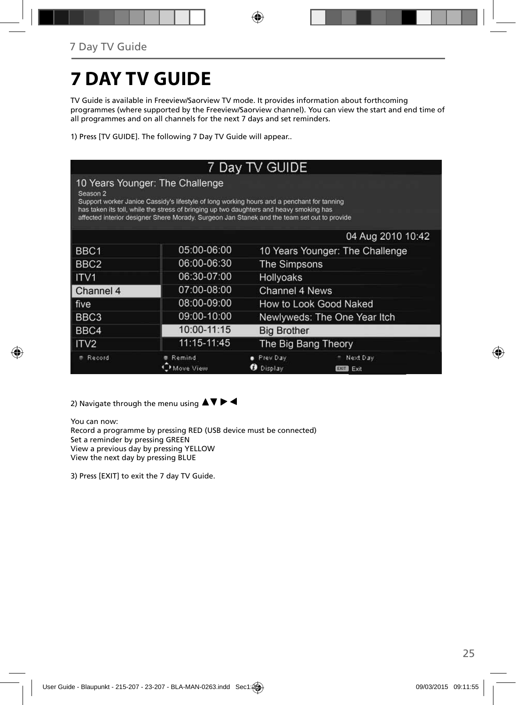# **7 DAY TV GUIDE**

TV Guide is available in Freeview/Saorview TV mode. It provides information about forthcoming programmes (where supported by the Freeview/Saorview channel). You can view the start and end time of all programmes and on all channels for the next 7 days and set reminders.

1) Press [TV GUIDE]. The following 7 Day TV Guide will appear..

| 7 Day TV GUIDE   |                                                                                                                                                                                                                                                                                                                         |                          |                                 |  |
|------------------|-------------------------------------------------------------------------------------------------------------------------------------------------------------------------------------------------------------------------------------------------------------------------------------------------------------------------|--------------------------|---------------------------------|--|
| Season 2         | 10 Years Younger: The Challenge<br>Support worker Janice Cassidy's lifestyle of long working hours and a penchant for tanning<br>has taken its toll, while the stress of bringing up two daughters and heavy smoking has<br>affected interior designer Shere Morady. Surgeon Jan Stanek and the team set out to provide |                          |                                 |  |
|                  |                                                                                                                                                                                                                                                                                                                         |                          | 04 Aug 2010 10:42               |  |
| BBC <sub>1</sub> | 05:00-06:00                                                                                                                                                                                                                                                                                                             |                          | 10 Years Younger: The Challenge |  |
| BBC <sub>2</sub> | 06:00-06:30                                                                                                                                                                                                                                                                                                             | The Simpsons             |                                 |  |
| ITV <sub>1</sub> | 06:30-07:00                                                                                                                                                                                                                                                                                                             | Hollyoaks                |                                 |  |
| Channel 4        | 07:00-08:00                                                                                                                                                                                                                                                                                                             | Channel 4 News           |                                 |  |
| five             | 08:00-09:00                                                                                                                                                                                                                                                                                                             |                          | How to Look Good Naked          |  |
| BBC <sub>3</sub> | 09:00-10:00                                                                                                                                                                                                                                                                                                             |                          | Newlyweds: The One Year Itch    |  |
| BBC4             | 10:00-11:15                                                                                                                                                                                                                                                                                                             | <b>Big Brother</b>       |                                 |  |
| ITV <sub>2</sub> | 11:15-11:45                                                                                                                                                                                                                                                                                                             | The Big Bang Theory      |                                 |  |
| Record           | Remind<br>Move View                                                                                                                                                                                                                                                                                                     | Prev Day<br>Display<br>ø | Next Day<br><b>EXIT</b><br>Exit |  |

2) Navigate through the menu using  $\blacktriangle \blacktriangledown \blacktriangleright \blacktriangleleft$ 

You can now: Record a programme by pressing RED (USB device must be connected) Set a reminder by pressing GREEN View a previous day by pressing YELLOW View the next day by pressing BLUE

3) Press [EXIT] to exit the 7 day TV Guide.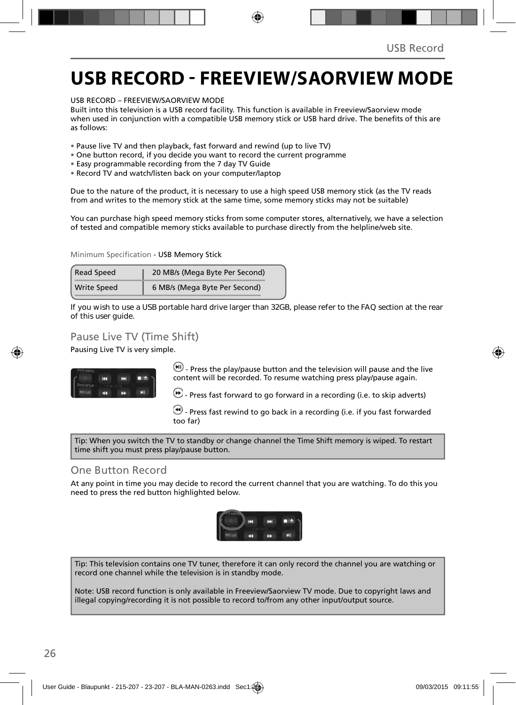## **USB RECORD - FREEVIEW/SAORVIEW MODE**

USB RECORD – FREEVIEW/SAORVIEW MODE

Built into this television is a USB record facility. This function is available in Freeview/Saorview mode when used in conjunction with a compatible USB memory stick or USB hard drive. The benefits of this are as follows:

- Pause live TV and then playback, fast forward and rewind (up to live TV)
- One button record, if you decide you want to record the current programme
- Easy programmable recording from the 7 day TV Guide
- Record TV and watch/listen back on your computer/laptop

Due to the nature of the product, it is necessary to use a high speed USB memory stick (as the TV reads from and writes to the memory stick at the same time, some memory sticks may not be suitable)

You can purchase high speed memory sticks from some computer stores, alternatively, we have a selection of tested and compatible memory sticks available to purchase directly from the helpline/web site.

Minimum Specification - USB Memory Stick

| <b>Read Speed</b>  | 20 MB/s (Mega Byte Per Second) |
|--------------------|--------------------------------|
| <b>Write Speed</b> | 6 MB/s (Mega Byte Per Second)  |

**If you wish to use a USB portable hard drive larger than 32GB, please refer to the FAQ section at the rear of this user guide.**

### Pause Live TV (Time Shift)

Pausing Live TV is very simple.



 $\left(\blacksquare\right)$  - Press the play/pause button and the television will pause and the live content will be recorded. To resume watching press play/pause again.

 $\left(\cdot\right)$  - Press fast forward to go forward in a recording (i.e. to skip adverts)

 $\bigcirc$  - Press fast rewind to go back in a recording (i.e. if you fast forwarded too far)

Tip: When you switch the TV to standby or change channel the Time Shift memory is wiped. To restart time shift you must press play/pause button.

### One Button Record

At any point in time you may decide to record the current channel that you are watching. To do this you need to press the red button highlighted below.



Tip: This television contains one TV tuner, therefore it can only record the channel you are watching or record one channel while the television is in standby mode.

Note: USB record function is only available in Freeview/Saorview TV mode. Due to copyright laws and illegal copying/recording it is not possible to record to/from any other input/output source.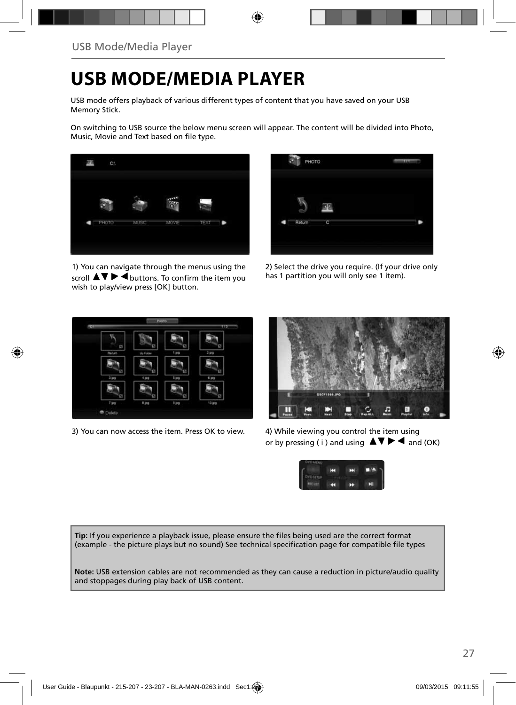## **USB MODE/MEDIA PLAYER**

USB mode offers playback of various different types of content that you have saved on your USB Memory Stick.

On switching to USB source the below menu screen will appear. The content will be divided into Photo, Music, Movie and Text based on file type.



1) You can navigate through the menus using the scroll  $\triangle \triangledown \triangleright \blacktriangle$  buttons. To confirm the item you wish to play/view press [OK] button.



2) Select the drive you require. (If your drive only has 1 partition you will only see 1 item).



3) You can now access the item. Press OK to view. 4) While viewing you control the item using



or by pressing (i) and using  $\Delta \nabla \blacktriangleright$   $\blacktriangle$  and (OK)



Tip: If you experience a playback issue, please ensure the files being used are the correct format (example - the picture plays but no sound) See technical specification page for compatible file types

**Note:** USB extension cables are not recommended as they can cause a reduction in picture/audio quality and stoppages during play back of USB content.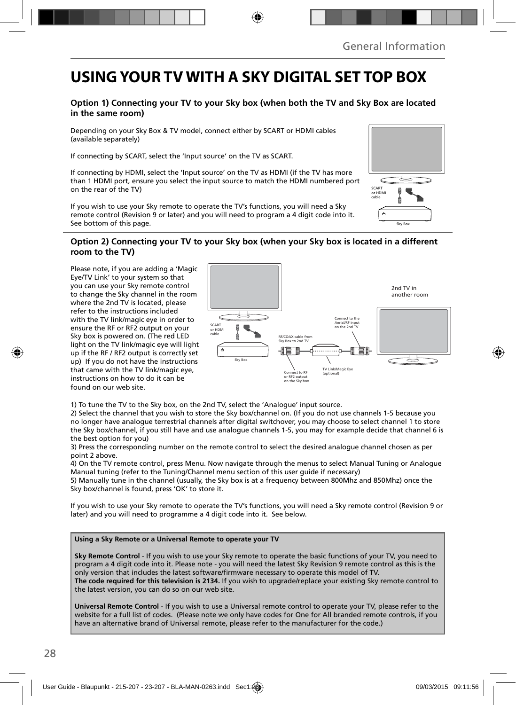## **USING YOUR TV WITH A SKY DIGITAL SET TOP BOX**

### **Option 1) Connecting your TV to your Sky box (when both the TV and Sky Box are located in the same room)**

Depending on your Sky Box & TV model, connect either by SCART or HDMI cables (available separately)

If connecting by SCART, select the 'Input source' on the TV as SCART.

If connecting by HDMI, select the 'Input source' on the TV as HDMI (if the TV has more than 1 HDMI port, ensure you select the input source to match the HDMI numbered port on the rear of the TV)

If you wish to use your Sky remote to operate the TV's functions, you will need a Sky remote control (Revision 9 or later) and you will need to program a 4 digit code into it. See bottom of this page.

# Sky Box SCART or HDMI cable

#### **Option 2) Connecting your TV to your Sky box (when your Sky box is located in a different room to the TV)**

Please note, if you are adding a 'Magic Eye/TV Link' to your system so that you can use your Sky remote control to change the Sky channel in the room where the 2nd TV is located, please refer to the instructions included with the TV link/magic eye in order to ensure the RF or RF2 output on your Sky box is powered on. (The red LED light on the TV link/magic eye will light up if the RF / RF2 output is correctly set up) If you do not have the instructions that came with the TV link/magic eye, instructions on how to do it can be found on our web site.



1) To tune the TV to the Sky box, on the 2nd TV, select the 'Analogue' input source.

2) Select the channel that you wish to store the Sky box/channel on. (If you do not use channels 1-5 because you no longer have analogue terrestrial channels after digital switchover, you may choose to select channel 1 to store the Sky box/channel, if you still have and use analogue channels 1-5, you may for example decide that channel 6 is the best option for you)

3) Press the corresponding number on the remote control to select the desired analogue channel chosen as per point 2 above.

4) On the TV remote control, press Menu. Now navigate through the menus to select Manual Tuning or Analogue Manual tuning (refer to the Tuning/Channel menu section of this user guide if necessary)

5) Manually tune in the channel (usually, the Sky box is at a frequency between 800Mhz and 850Mhz) once the Sky box/channel is found, press 'OK' to store it.

If you wish to use your Sky remote to operate the TV's functions, you will need a Sky remote control (Revision 9 or later) and you will need to programme a 4 digit code into it. See below.

#### **Using a Sky Remote or a Universal Remote to operate your TV**

**Sky Remote Control** - If you wish to use your Sky remote to operate the basic functions of your TV, you need to program a 4 digit code into it. Please note - you will need the latest Sky Revision 9 remote control as this is the only version that includes the latest software/firmware necessary to operate this model of TV.

**The code required for this television is 2134.** If you wish to upgrade/replace your existing Sky remote control to the latest version, you can do so on our web site.

**Universal Remote Control** - If you wish to use a Universal remote control to operate your TV, please refer to the website for a full list of codes. (Please note we only have codes for One for All branded remote controls, if you have an alternative brand of Universal remote, please refer to the manufacturer for the code.)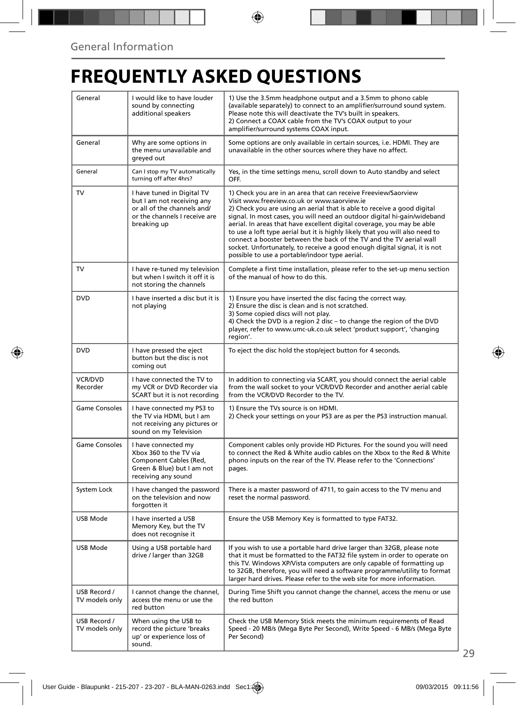# **FREQUENTLY ASKED QUESTIONS**

| General                        | I would like to have louder<br>sound by connecting<br>additional speakers                                                               | 1) Use the 3.5mm headphone output and a 3.5mm to phono cable<br>(available separately) to connect to an amplifier/surround sound system.<br>Please note this will deactivate the TV's built in speakers.<br>2) Connect a COAX cable from the TV's COAX output to your<br>amplifier/surround systems COAX input.                                                                                                                                                                                                                                                                                                                      |  |
|--------------------------------|-----------------------------------------------------------------------------------------------------------------------------------------|--------------------------------------------------------------------------------------------------------------------------------------------------------------------------------------------------------------------------------------------------------------------------------------------------------------------------------------------------------------------------------------------------------------------------------------------------------------------------------------------------------------------------------------------------------------------------------------------------------------------------------------|--|
| General                        | Why are some options in<br>the menu unavailable and<br>greyed out                                                                       | Some options are only available in certain sources, i.e. HDMI. They are<br>unavailable in the other sources where they have no affect.                                                                                                                                                                                                                                                                                                                                                                                                                                                                                               |  |
| General                        | Can I stop my TV automatically<br>turning off after 4hrs?                                                                               | Yes, in the time settings menu, scroll down to Auto standby and select<br>OFF.                                                                                                                                                                                                                                                                                                                                                                                                                                                                                                                                                       |  |
| TV                             | I have tuned in Digital TV<br>but I am not receiving any<br>or all of the channels and/<br>or the channels I receive are<br>breaking up | 1) Check you are in an area that can receive Freeview/Saorview<br>Visit www.freeview.co.uk or www.saorview.ie<br>2) Check you are using an aerial that is able to receive a good digital<br>signal. In most cases, you will need an outdoor digital hi-gain/wideband<br>aerial. In areas that have excellent digital coverage, you may be able<br>to use a loft type aerial but it is highly likely that you will also need to<br>connect a booster between the back of the TV and the TV aerial wall<br>socket. Unfortunately, to receive a good enough digital signal, it is not<br>possible to use a portable/indoor type aerial. |  |
| TV                             | I have re-tuned my television<br>but when I switch it off it is<br>not storing the channels                                             | Complete a first time installation, please refer to the set-up menu section<br>of the manual of how to do this.                                                                                                                                                                                                                                                                                                                                                                                                                                                                                                                      |  |
| <b>DVD</b>                     | I have inserted a disc but it is<br>not playing                                                                                         | 1) Ensure you have inserted the disc facing the correct way.<br>2) Ensure the disc is clean and is not scratched.<br>3) Some copied discs will not play.<br>4) Check the DVD is a region 2 disc - to change the region of the DVD<br>player, refer to www.umc-uk.co.uk select 'product support', 'changing<br>region'.                                                                                                                                                                                                                                                                                                               |  |
| <b>DVD</b>                     | I have pressed the eject<br>button but the disc is not<br>coming out                                                                    | To eject the disc hold the stop/eject button for 4 seconds.                                                                                                                                                                                                                                                                                                                                                                                                                                                                                                                                                                          |  |
| VCR/DVD<br>Recorder            | I have connected the TV to<br>my VCR or DVD Recorder via<br>SCART but it is not recording                                               | In addition to connecting via SCART, you should connect the aerial cable<br>from the wall socket to your VCR/DVD Recorder and another aerial cable<br>from the VCR/DVD Recorder to the TV.                                                                                                                                                                                                                                                                                                                                                                                                                                           |  |
| Game Consoles                  | I have connected my PS3 to<br>the TV via HDMI, but I am<br>not receiving any pictures or<br>sound on my Television                      | 1) Ensure the TVs source is on HDMI.<br>2) Check your settings on your PS3 are as per the PS3 instruction manual.                                                                                                                                                                                                                                                                                                                                                                                                                                                                                                                    |  |
| Game Consoles                  | I have connected my<br>Xbox 360 to the TV via<br>Component Cables (Red,<br>Green & Blue) but I am not<br>receiving any sound            | Component cables only provide HD Pictures. For the sound you will need<br>to connect the Red & White audio cables on the Xbox to the Red & White<br>phono inputs on the rear of the TV. Please refer to the 'Connections'<br>pages.                                                                                                                                                                                                                                                                                                                                                                                                  |  |
| System Lock                    | I have changed the password<br>on the television and now<br>forgotten it                                                                | There is a master password of 4711, to gain access to the TV menu and<br>reset the normal password.                                                                                                                                                                                                                                                                                                                                                                                                                                                                                                                                  |  |
| USB Mode                       | I have inserted a USB<br>Memory Key, but the TV<br>does not recognise it                                                                | Ensure the USB Memory Key is formatted to type FAT32.                                                                                                                                                                                                                                                                                                                                                                                                                                                                                                                                                                                |  |
| USB Mode                       | Using a USB portable hard<br>drive / larger than 32GB                                                                                   | If you wish to use a portable hard drive larger than 32GB, please note<br>that it must be formatted to the FAT32 file system in order to operate on<br>this TV. Windows XP/Vista computers are only capable of formatting up<br>to 32GB, therefore, you will need a software programme/utility to format<br>larger hard drives. Please refer to the web site for more information.                                                                                                                                                                                                                                                   |  |
| USB Record /<br>TV models only | I cannot change the channel,<br>access the menu or use the<br>red button                                                                | During Time Shift you cannot change the channel, access the menu or use<br>the red button                                                                                                                                                                                                                                                                                                                                                                                                                                                                                                                                            |  |
| USB Record /<br>TV models only | When using the USB to<br>record the picture 'breaks<br>up' or experience loss of<br>sound.                                              | Check the USB Memory Stick meets the minimum requirements of Read<br>Speed - 20 MB/s (Mega Byte Per Second), Write Speed - 6 MB/s (Mega Byte<br>Per Second)                                                                                                                                                                                                                                                                                                                                                                                                                                                                          |  |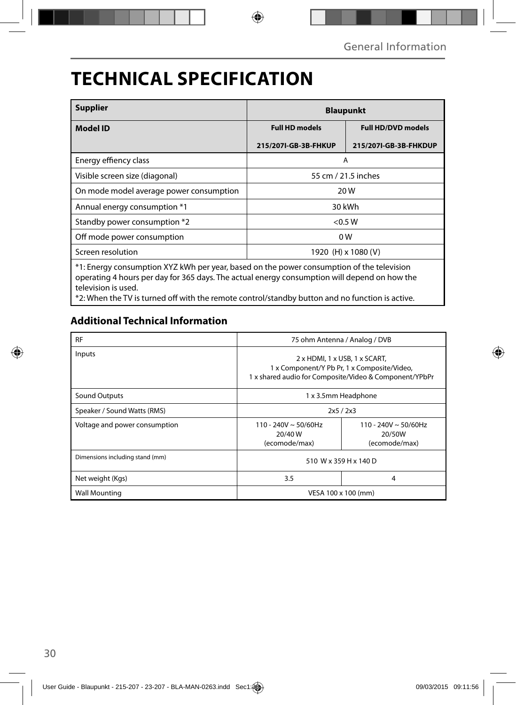## **TECHNICAL SPECIFICATION**

| <b>Supplier</b>                                                                                                                                                                                                  | <b>Blaupunkt</b>      |                           |  |
|------------------------------------------------------------------------------------------------------------------------------------------------------------------------------------------------------------------|-----------------------|---------------------------|--|
| <b>Model ID</b>                                                                                                                                                                                                  | <b>Full HD models</b> | <b>Full HD/DVD models</b> |  |
|                                                                                                                                                                                                                  | 215/2071-GB-3B-FHKUP  | 215/2071-GB-3B-FHKDUP     |  |
| Energy effiency class                                                                                                                                                                                            | A                     |                           |  |
| Visible screen size (diagonal)                                                                                                                                                                                   | 55 cm / 21.5 inches   |                           |  |
| On mode model average power consumption                                                                                                                                                                          | 20 W                  |                           |  |
| Annual energy consumption *1                                                                                                                                                                                     | 30 kWh                |                           |  |
| Standby power consumption *2                                                                                                                                                                                     | < 0.5 W               |                           |  |
| Off mode power consumption                                                                                                                                                                                       | 0 <sub>W</sub>        |                           |  |
| Screen resolution                                                                                                                                                                                                | 1920 (H) x 1080 (V)   |                           |  |
| *1: Energy consumption XYZ kWh per year, based on the power consumption of the television<br>operating 4 hours per day for 365 days. The actual energy consumption will depend on how the<br>television is used. |                       |                           |  |

\*2: When the TV is turned off with the remote control/standby button and no function is active.

## **Additional Technical Information**

| <b>RF</b>                       | 75 ohm Antenna / Analog / DVB                    |                                                                                                                                                             |  |
|---------------------------------|--------------------------------------------------|-------------------------------------------------------------------------------------------------------------------------------------------------------------|--|
| Inputs                          |                                                  | $2 \times$ HDMI, 1 $\times$ USB, 1 $\times$ SCART,<br>1 x Component/Y Pb Pr, 1 x Composite/Video,<br>1 x shared audio for Composite/Video & Component/YPbPr |  |
| Sound Outputs                   | 1 x 3.5mm Headphone                              |                                                                                                                                                             |  |
| Speaker / Sound Watts (RMS)     | 2x5/2x3                                          |                                                                                                                                                             |  |
| Voltage and power consumption   | 110 - 240V ~ 50/60Hz<br>20/40 W<br>(ecomode/max) | 110 - 240V ~ 50/60Hz<br>20/50W<br>(ecomode/max)                                                                                                             |  |
| Dimensions including stand (mm) | 510 W x 359 H x 140 D                            |                                                                                                                                                             |  |
| Net weight (Kgs)                | 3.5                                              | 4                                                                                                                                                           |  |
| <b>Wall Mounting</b>            | VESA 100 x 100 (mm)                              |                                                                                                                                                             |  |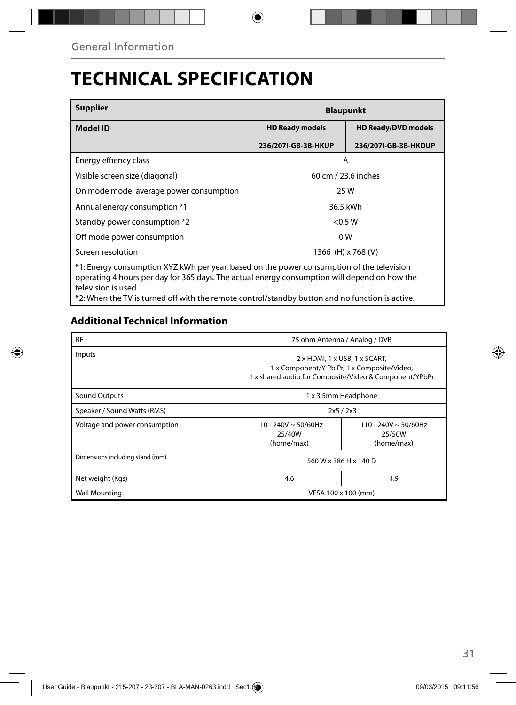# **TECHNICAL SPECIFICATION**

| <b>Supplier</b>                                                                                                                                                                                                  | <b>Blaupunkt</b>       |                            |  |
|------------------------------------------------------------------------------------------------------------------------------------------------------------------------------------------------------------------|------------------------|----------------------------|--|
| <b>Model ID</b>                                                                                                                                                                                                  | <b>HD Ready models</b> | <b>HD Ready/DVD models</b> |  |
|                                                                                                                                                                                                                  | 236/2071-GB-3B-HKUP    | 236/2071-GB-3B-HKDUP       |  |
| Energy effiency class                                                                                                                                                                                            | A                      |                            |  |
| Visible screen size (diagonal)                                                                                                                                                                                   | 60 cm / 23.6 inches    |                            |  |
| On mode model average power consumption                                                                                                                                                                          | 25 W                   |                            |  |
| Annual energy consumption *1                                                                                                                                                                                     | 36.5 kWh               |                            |  |
| Standby power consumption *2                                                                                                                                                                                     | < 0.5 W                |                            |  |
| Off mode power consumption                                                                                                                                                                                       | 0 <sub>W</sub>         |                            |  |
| Screen resolution                                                                                                                                                                                                | 1366 (H) x 768 (V)     |                            |  |
| *1: Energy consumption XYZ kWh per year, based on the power consumption of the television<br>operating 4 hours per day for 365 days. The actual energy consumption will depend on how the<br>television is used. |                        |                            |  |

\*2: When the TV is turned off with the remote control/standby button and no function is active.

## **Additional Technical Information**

| <b>RF</b>                       | 75 ohm Antenna / Analog / DVB                                                                                                                               |                                                   |
|---------------------------------|-------------------------------------------------------------------------------------------------------------------------------------------------------------|---------------------------------------------------|
| Inputs                          | $2 \times$ HDMI, 1 $\times$ USB, 1 $\times$ SCART,<br>1 x Component/Y Pb Pr, 1 x Composite/Video,<br>1 x shared audio for Composite/Video & Component/YPbPr |                                                   |
| <b>Sound Outputs</b>            | 1 x 3.5mm Headphone                                                                                                                                         |                                                   |
| Speaker / Sound Watts (RMS)     | 2x5/2x3                                                                                                                                                     |                                                   |
| Voltage and power consumption   | 110 - 240V ~ 50/60Hz<br>25/40W<br>(home/max)                                                                                                                | 110 - 240V $\sim$ 50/60Hz<br>25/50W<br>(home/max) |
| Dimensions including stand (mm) | 560 W x 386 H x 140 D                                                                                                                                       |                                                   |
| Net weight (Kgs)                | 4.6                                                                                                                                                         | 4.9                                               |
| <b>Wall Mounting</b>            | VESA 100 x 100 (mm)                                                                                                                                         |                                                   |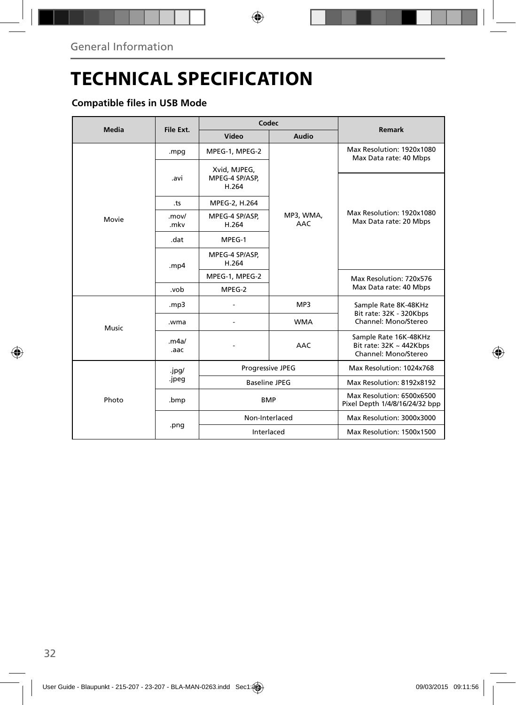# **TECHNICAL SPECIFICATION**

## **Compatible files in USB Mode**

| <b>Media</b> | File Ext.      | Codec                                   |                         | <b>Remark</b>                                                                 |
|--------------|----------------|-----------------------------------------|-------------------------|-------------------------------------------------------------------------------|
|              |                | Video                                   | Audio                   |                                                                               |
| Movie        | .mpg           | MPEG-1, MPEG-2                          |                         | Max Resolution: 1920x1080<br>Max Data rate: 40 Mbps                           |
|              | .avi           | Xvid, MJPEG,<br>MPEG-4 SP/ASP,<br>H.264 | MP3, WMA,<br><b>AAC</b> |                                                                               |
|              | .ts            | MPEG-2, H.264                           |                         |                                                                               |
|              | .mov/<br>.mkv  | MPEG-4 SP/ASP,<br>H.264                 |                         | Max Resolution: 1920x1080<br>Max Data rate: 20 Mbps                           |
|              | .dat           | MPEG-1                                  |                         |                                                                               |
|              | . $mp4$        | MPEG-4 SP/ASP,<br>H.264                 |                         |                                                                               |
|              |                | MPEG-1, MPEG-2                          |                         | Max Resolution: 720x576<br>Max Data rate: 40 Mbps                             |
|              | .vob           | MPEG-2                                  |                         |                                                                               |
| Music        | mp3.           |                                         | MP3                     | Sample Rate 8K-48KHz<br>Bit rate: 32K - 320Kbps<br>Channel: Mono/Stereo       |
|              | .wma           |                                         | <b>WMA</b>              |                                                                               |
|              | .m4a/<br>.aac  |                                         | <b>AAC</b>              | Sample Rate 16K-48KHz<br>Bit rate: $32K \sim 442Kbps$<br>Channel: Mono/Stereo |
| Photo        | .jpg/<br>.jpeg | Progressive JPEG                        |                         | Max Resolution: 1024x768                                                      |
|              |                | <b>Baseline JPEG</b>                    |                         | Max Resolution: 8192x8192                                                     |
|              | .bmp           | <b>BMP</b>                              |                         | Max Resolution: 6500x6500<br>Pixel Depth 1/4/8/16/24/32 bpp                   |
|              | .png           | Non-Interlaced                          |                         | Max Resolution: 3000x3000                                                     |
|              |                | Interlaced                              |                         | Max Resolution: 1500x1500                                                     |